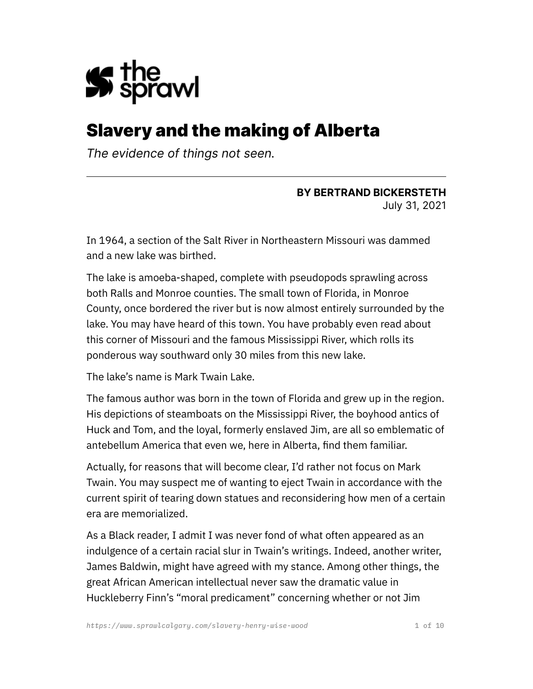

# Slavery and the making of Alberta

*The evidence of things not seen.*

#### **BY BERTRAND BICKERSTETH** July 31, 2021

In 1964, a section of the Salt River in Northeastern Missouri was dammed and a new lake was birthed.

The lake is amoeba-shaped, complete with pseudopods sprawling across both Ralls and Monroe counties. The small town of Florida, in Monroe County, once bordered the river but is now almost entirely surrounded by the lake. You may have heard of this town. You have probably even read about this corner of Missouri and the famous Mississippi River, which rolls its ponderous way southward only 30 miles from this new lake.

The lake's name is Mark Twain Lake.

The famous author was born in the town of Florida and grew up in the region. His depictions of steamboats on the Mississippi River, the boyhood antics of Huck and Tom, and the loyal, formerly enslaved Jim, are all so emblematic of antebellum America that even we, here in Alberta, find them familiar.

Actually, for reasons that will become clear, I'd rather not focus on Mark Twain. You may suspect me of wanting to eject Twain in accordance with the current spirit of tearing down statues and reconsidering how men of a certain era are memorialized.

As a Black reader, I admit I was never fond of what often appeared as an indulgence of a certain racial slur in Twain's writings. Indeed, another writer, James Baldwin, might have agreed with my stance. Among other things, the great African American intellectual never saw the dramatic value in Huckleberry Finn's "moral predicament" concerning whether or not Jim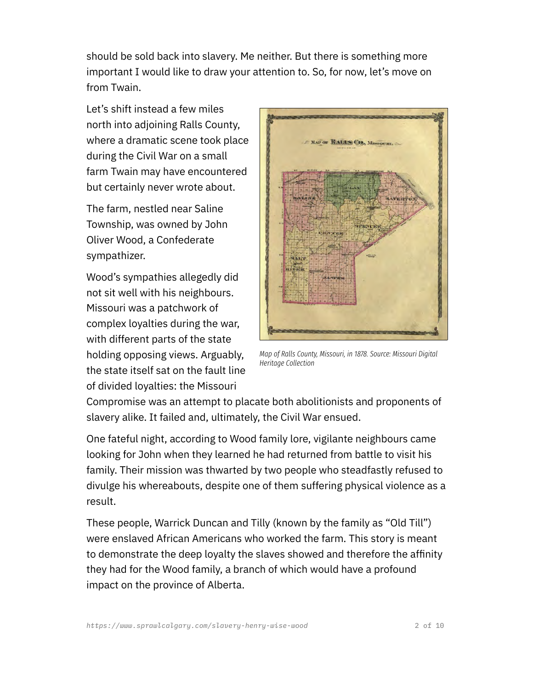should be sold back into slavery. Me neither. But there is something more important I would like to draw your attention to. So, for now, let's move on from Twain.

Let's shift instead a few miles north into adjoining Ralls County, where a dramatic scene took place during the Civil War on a small farm Twain may have encountered but certainly never wrote about.

The farm, nestled near Saline Township, was owned by John Oliver Wood, a Confederate sympathizer.

Wood's sympathies allegedly did not sit well with his neighbours. Missouri was a patchwork of complex loyalties during the war, with different parts of the state holding opposing views. Arguably, the state itself sat on the fault line of divided loyalties: the Missouri



*Map of Ralls County, Missouri, in 1878. Source: Missouri Digital Heritage Collection*

Compromise was an attempt to placate both abolitionists and proponents of slavery alike. It failed and, ultimately, the Civil War ensued.

One fateful night, according to Wood family lore, vigilante neighbours came looking for John when they learned he had returned from battle to visit his family. Their mission was thwarted by two people who steadfastly refused to divulge his whereabouts, despite one of them suffering physical violence as a result.

These people, Warrick Duncan and Tilly (known by the family as "Old Till") were enslaved African Americans who worked the farm. This story is meant to demonstrate the deep loyalty the slaves showed and therefore the affinity they had for the Wood family, a branch of which would have a profound impact on the province of Alberta.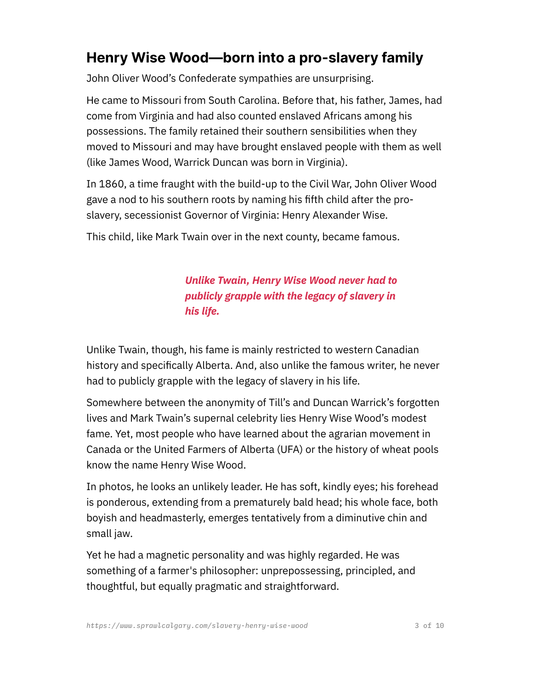## **Henry Wise Wood—born into a pro-slavery family**

John Oliver Wood's Confederate sympathies are unsurprising.

He came to Missouri from South Carolina. Before that, his father, James, had come from Virginia and had also counted enslaved Africans among his possessions. The family retained their southern sensibilities when they moved to Missouri and may have brought enslaved people with them as well (like James Wood, Warrick Duncan was born in Virginia).

In 1860, a time fraught with the build-up to the Civil War, John Oliver Wood gave a nod to his southern roots by naming his fifth child after the proslavery, secessionist Governor of Virginia: Henry Alexander Wise.

This child, like Mark Twain over in the next county, became famous.

*Unlike Twain, Henry Wise Wood never had to publicly grapple with the legacy of slavery in his life.*

Unlike Twain, though, his fame is mainly restricted to western Canadian history and specifically Alberta. And, also unlike the famous writer, he never had to publicly grapple with the legacy of slavery in his life.

Somewhere between the anonymity of Till's and Duncan Warrick's forgotten lives and Mark Twain's supernal celebrity lies Henry Wise Wood's modest fame. Yet, most people who have learned about the agrarian movement in Canada or the United Farmers of Alberta (UFA) or the history of wheat pools know the name Henry Wise Wood.

In photos, he looks an unlikely leader. He has soft, kindly eyes; his forehead is ponderous, extending from a prematurely bald head; his whole face, both boyish and headmasterly, emerges tentatively from a diminutive chin and small jaw.

Yet he had a magnetic personality and was highly regarded. He was something of a farmer's philosopher: unprepossessing, principled, and thoughtful, but equally pragmatic and straightforward.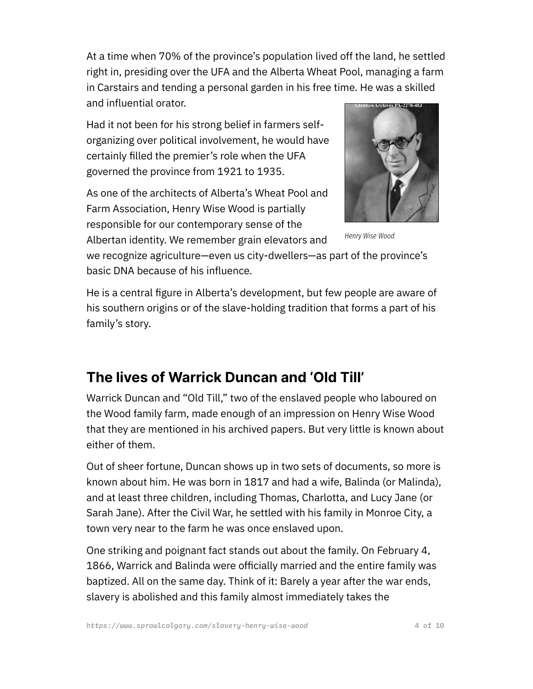At a time when 70% of the province's population lived off the land, he settled right in, presiding over the UFA and the Alberta Wheat Pool, managing a farm in Carstairs and tending a personal garden in his free time. He was a skilled and influential orator.

Had it not been for his strong belief in farmers selforganizing over political involvement, he would have certainly filled the premier's role when the UFA governed the province from 1921 to 1935.

As one of the architects of Alberta's Wheat Pool and Farm Association, Henry Wise Wood is partially responsible for our contemporary sense of the Albertan identity. We remember grain elevators and



*Henry Wise Wood*

we recognize agriculture—even us city-dwellers—as part of the province's basic DNA because of his influence.

He is a central figure in Alberta's development, but few people are aware of his southern origins or of the slave-holding tradition that forms a part of his family's story.

## **The lives of Warrick Duncan and 'Old Till'**

Warrick Duncan and "Old Till," two of the enslaved people who laboured on the Wood family farm, made enough of an impression on Henry Wise Wood that they are mentioned in his archived papers. But very little is known about either of them.

Out of sheer fortune, Duncan shows up in two sets of documents, so more is known about him. He was born in 1817 and had a wife, Balinda (or Malinda), and at least three children, including Thomas, Charlotta, and Lucy Jane (or Sarah Jane). After the Civil War, he settled with his family in Monroe City, a town very near to the farm he was once enslaved upon.

One striking and poignant fact stands out about the family. On February 4, 1866, Warrick and Balinda were officially married and the entire family was baptized. All on the same day. Think of it: Barely a year after the war ends, slavery is abolished and this family almost immediately takes the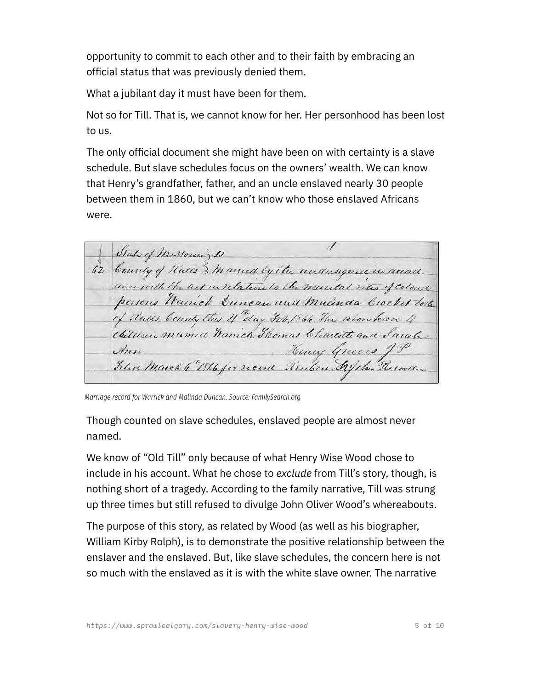opportunity to commit to each other and to their faith by embracing an official status that was previously denied them.

What a jubilant day it must have been for them.

Not so for Till. That is, we cannot know for her. Her personhood has been lost to us.

The only official document she might have been on with certainty is a slave schedule. But slave schedules focus on the owners' wealth. We can know that Henry's grandfather, father, and an uncle enslaved nearly 30 people between them in 1860, but we can't know who those enslaved Africans were.

1 State of Missouri, Is 62 County of Rates 3 married by the undersigned in accord ance with the act in relation to the mantal rites of colone persons Warrick Suncan and malinda brocket both of Rules County this If day Jeb, 1866 The above have 4 thildren mamed Wanich Thomas Charlotte and Sarah Towy Greens; Ann Filed March 4"1866 for record Renten Afche Recorder

*Marriage record for Warrick and Malinda Duncan. Source: FamilySearch.org*

Though counted on slave schedules, enslaved people are almost never named.

We know of "Old Till" only because of what Henry Wise Wood chose to include in his account. What he chose to *exclude* from Till's story, though, is nothing short of a tragedy. According to the family narrative, Till was strung up three times but still refused to divulge John Oliver Wood's whereabouts.

The purpose of this story, as related by Wood (as well as his biographer, William Kirby Rolph), is to demonstrate the positive relationship between the enslaver and the enslaved. But, like slave schedules, the concern here is not so much with the enslaved as it is with the white slave owner. The narrative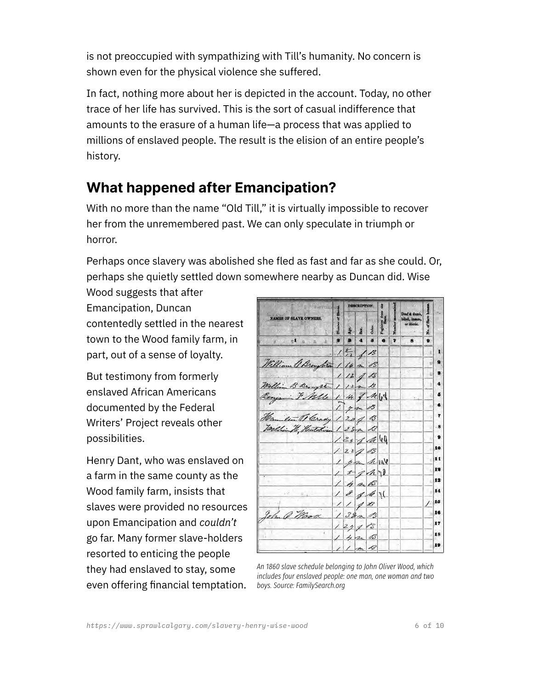is not preoccupied with sympathizing with Till's humanity. No concern is shown even for the physical violence she suffered.

In fact, nothing more about her is depicted in the account. Today, no other trace of her life has survived. This is the sort of casual indifference that amounts to the erasure of a human life—a process that was applied to millions of enslaved people. The result is the elision of an entire people's history.

## **What happened after Emancipation?**

With no more than the name "Old Till," it is virtually impossible to recover her from the unremembered past. We can only speculate in triumph or horror.

Perhaps once slavery was abolished she fled as fast and far as she could. Or, perhaps she quietly settled down somewhere nearby as Duncan did. Wise

Wood suggests that after Emancipation, Duncan contentedly settled in the nearest town to the Wood family farm, in part, out of a sense of loyalty.

But testimony from formerly enslaved African Americans documented by the Federal Writers' Project reveals other possibilities.

Henry Dant, who was enslaved on a farm in the same county as the Wood family farm, insists that slaves were provided no resources upon Emancipation and *couldn't* go far. Many former slave-holders resorted to enticing the people they had enslaved to stay, some even offering financial temptation.

|                                                            | <b>DESCRIPTION.</b> |              |       |                   |   |                                               |     |    |
|------------------------------------------------------------|---------------------|--------------|-------|-------------------|---|-----------------------------------------------|-----|----|
| <b>NAMES OF SLAVE OWNERS.</b>                              |                     | Sax.         | Color | from<br><b>zā</b> |   | Deaf & dumb.<br>blind, insane,<br>or idiotic. | No. |    |
| $\mathbb{E}$ $\theta$ $\rightarrow$ $\mathbb{R}$           |                     | $\mathbf{A}$ | 5     |                   | 7 | 8                                             | 9   |    |
|                                                            | 15/3                |              |       |                   |   |                                               |     | ı  |
| William & Broughton 1 16 m B                               |                     |              |       |                   |   |                                               |     | 9  |
|                                                            | 1/2/3               |              |       |                   |   |                                               |     |    |
| William B Broughton 1 12m B                                |                     |              |       |                   |   |                                               |     |    |
| Renjamin F Natte 1 14 & M 18                               |                     |              |       |                   |   |                                               |     | 5  |
|                                                            | 1 you B             |              |       |                   |   |                                               |     |    |
|                                                            |                     |              |       |                   |   |                                               |     | 7  |
| Hamilton O Grady 1 20 9 8<br>Willia W, Heathing 1 28 p. 13 |                     |              |       |                   |   |                                               |     | -8 |
|                                                            | 12571               |              |       |                   |   |                                               |     | 9  |
|                                                            | 12228               |              |       |                   |   |                                               |     | 10 |
|                                                            | 122 M144            |              |       |                   |   |                                               |     | 11 |
|                                                            | 252h                |              |       |                   |   |                                               |     | 19 |
|                                                            | 14aB                |              |       |                   |   |                                               |     | 13 |
|                                                            | 18841               |              |       |                   |   |                                               |     | 14 |
|                                                            | 1/18                |              |       |                   |   |                                               | 7   | 15 |
| John Q. Mood                                               | 13823               |              |       |                   |   |                                               |     | 16 |
|                                                            | 12713               |              |       |                   |   |                                               |     | 17 |
|                                                            | 14203               |              |       |                   |   |                                               |     | 18 |
|                                                            | 1/nS                |              |       |                   |   |                                               |     | 19 |
|                                                            |                     |              |       |                   |   |                                               |     |    |

*An 1860 slave schedule belonging to John Oliver Wood, which includes four enslaved people: one man, one woman and two boys. Source: FamilySearch.org*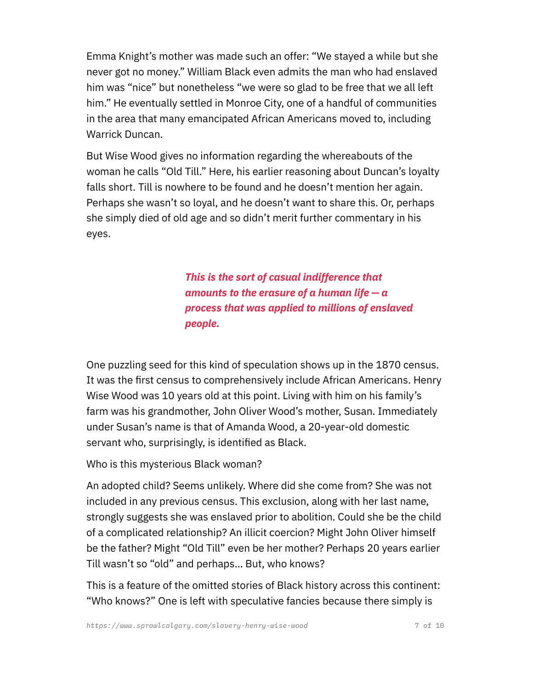Emma Knight's mother was made such an offer: "We stayed a while but she never got no money." William Black even admits the man who had enslaved him was "nice" but nonetheless "we were so glad to be free that we all left him." He eventually settled in Monroe City, one of a handful of communities in the area that many emancipated African Americans moved to, including Warrick Duncan.

But Wise Wood gives no information regarding the whereabouts of the woman he calls "Old Till." Here, his earlier reasoning about Duncan's loyalty falls short. Till is nowhere to be found and he doesn't mention her again. Perhaps she wasn't so loyal, and he doesn't want to share this. Or, perhaps she simply died of old age and so didn't merit further commentary in his eyes.

> *This is the sort of casual indifference that amounts to the erasure of a human life — a process that was applied to millions of enslaved people.*

One puzzling seed for this kind of speculation shows up in the 1870 census. It was the first census to comprehensively include African Americans. Henry Wise Wood was 10 years old at this point. Living with him on his family's farm was his grandmother, John Oliver Wood's mother, Susan. Immediately under Susan's name is that of Amanda Wood, a 20-year-old domestic servant who, surprisingly, is identified as Black.

Who is this mysterious Black woman?

An adopted child? Seems unlikely. Where did she come from? She was not included in any previous census. This exclusion, along with her last name, strongly suggests she was enslaved prior to abolition. Could she be the child of a complicated relationship? An illicit coercion? Might John Oliver himself be the father? Might "Old Till" even be her mother? Perhaps 20 years earlier Till wasn't so "old" and perhaps… But, who knows?

This is a feature of the omitted stories of Black history across this continent: "Who knows?" One is left with speculative fancies because there simply is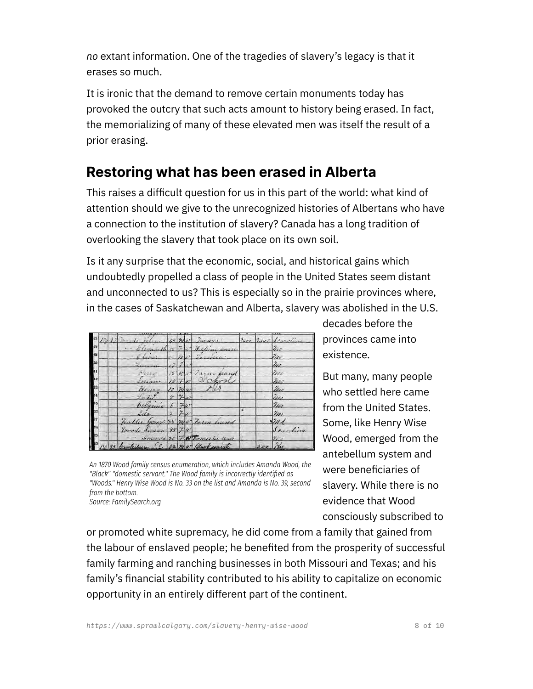*no* extant information. One of the tragedies of slavery's legacy is that it erases so much.

It is ironic that the demand to remove certain monuments today has provoked the outcry that such acts amount to history being erased. In fact, the memorializing of many of these elevated men was itself the result of a prior erasing.

### **Restoring what has been erased in Alberta**

This raises a difficult question for us in this part of the world: what kind of attention should we give to the unrecognized histories of Albertans who have a connection to the institution of slavery? Canada has a long tradition of overlooking the slavery that took place on its own soil.

Is it any surprise that the economic, social, and historical gains which undoubtedly propelled a class of people in the United States seem distant and unconnected to us? This is especially so in the prairie provinces where, in the cases of Saskatchewan and Alberta, slavery was abolished in the U.S.

|     |  |                                    |                  |               |        | $49.2$ mas Jarmer        |           | Lyro 2440 Scaroline |
|-----|--|------------------------------------|------------------|---------------|--------|--------------------------|-----------|---------------------|
| 却   |  |                                    |                  |               |        | 20 7. 4 But              |           |                     |
| 20  |  |                                    |                  |               | 14 100 |                          |           | n.                  |
|     |  |                                    |                  |               |        |                          |           | m                   |
|     |  |                                    |                  |               |        | $-7.3511$<br>offred      |           |                     |
|     |  | fores                              | 13               |               |        |                          |           | mi                  |
| 33  |  | Atracker                           | $10 \frac{m}{w}$ |               |        |                          |           | $\mathbb{Z}_{\ell}$ |
| -41 |  |                                    | $\pi$            | $\mathcal{Z}$ |        |                          |           | in                  |
| 33  |  | beramia                            |                  |               |        |                          |           | nu                  |
| à.  |  | Lila                               |                  |               |        |                          |           | $\eta_{\mu}$        |
| ы   |  | Fradler George 35 mar Tarin leaved |                  |               |        |                          |           | 2n                  |
|     |  | Granda Service 88 74               |                  |               |        |                          |           | Scanfing            |
|     |  |                                    |                  |               |        | nda 20 7 Q Domis he seni |           |                     |
|     |  | Canterbur                          |                  |               |        | ma Blacksmith            | $50 - 74$ |                     |

*An 1870 Wood family census enumeration, which includes Amanda Wood, the "Black" "domestic servant." The Wood family is incorrectly identified as "Woods." Henry Wise Wood is No. 33 on the list and Amanda is No. 39, second from the bottom.* 

*Source: FamilySearch.org*

decades before the provinces came into existence.

But many, many people who settled here came from the United States. Some, like Henry Wise Wood, emerged from the antebellum system and were beneficiaries of slavery. While there is no evidence that Wood consciously subscribed to

or promoted white supremacy, he did come from a family that gained from the labour of enslaved people; he benefited from the prosperity of successful family farming and ranching businesses in both Missouri and Texas; and his family's financial stability contributed to his ability to capitalize on economic opportunity in an entirely different part of the continent.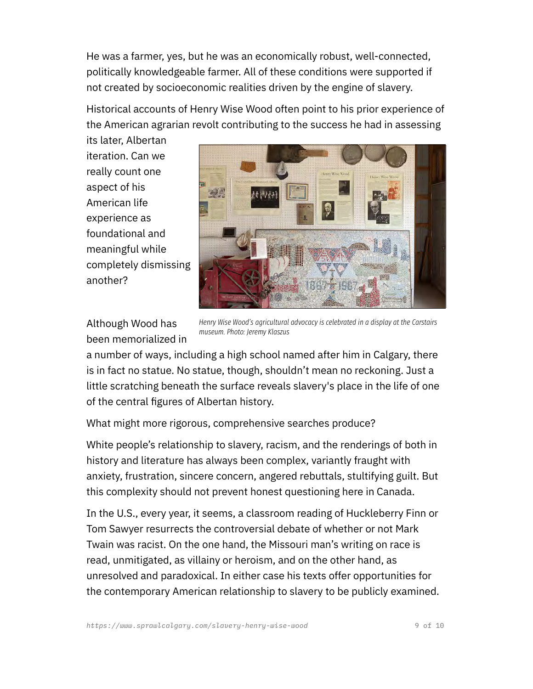He was a farmer, yes, but he was an economically robust, well-connected, politically knowledgeable farmer. All of these conditions were supported if not created by socioeconomic realities driven by the engine of slavery.

Historical accounts of Henry Wise Wood often point to his prior experience of the American agrarian revolt contributing to the success he had in assessing

its later, Albertan iteration. Can we really count one aspect of his American life experience as foundational and meaningful while completely dismissing another?



Although Wood has been memorialized in

*Henry Wise Wood's agricultural advocacy is celebrated in a display at the Carstairs museum. Photo: Jeremy Klaszus*

a number of ways, including a high school named after him in Calgary, there is in fact no statue. No statue, though, shouldn't mean no reckoning. Just a little scratching beneath the surface reveals slavery's place in the life of one of the central figures of Albertan history.

What might more rigorous, comprehensive searches produce?

White people's relationship to slavery, racism, and the renderings of both in history and literature has always been complex, variantly fraught with anxiety, frustration, sincere concern, angered rebuttals, stultifying guilt. But this complexity should not prevent honest questioning here in Canada.

In the U.S., every year, it seems, a classroom reading of Huckleberry Finn or Tom Sawyer resurrects the controversial debate of whether or not Mark Twain was racist. On the one hand, the Missouri man's writing on race is read, unmitigated, as villainy or heroism, and on the other hand, as unresolved and paradoxical. In either case his texts offer opportunities for the contemporary American relationship to slavery to be publicly examined.